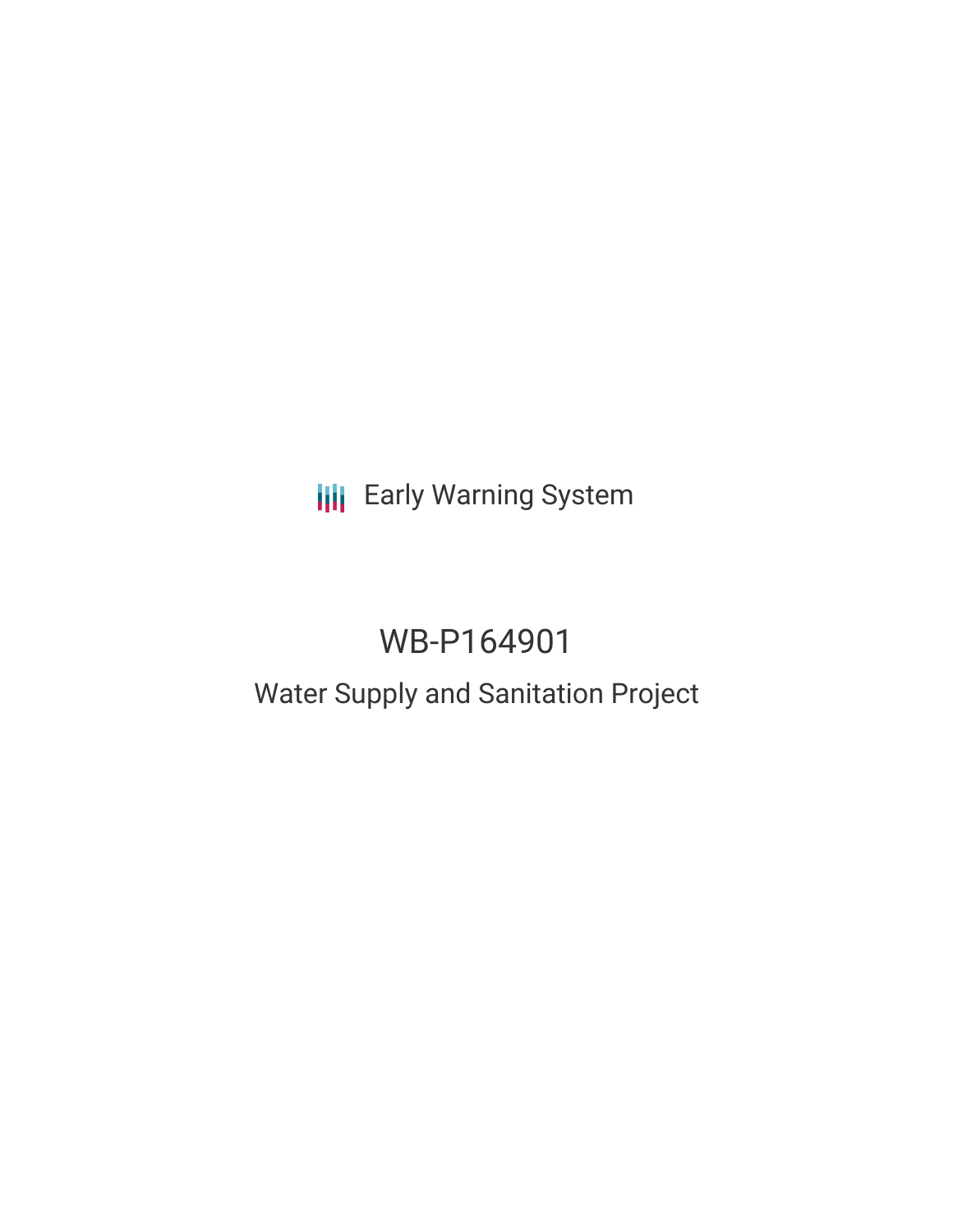**III** Early Warning System

# WB-P164901

## Water Supply and Sanitation Project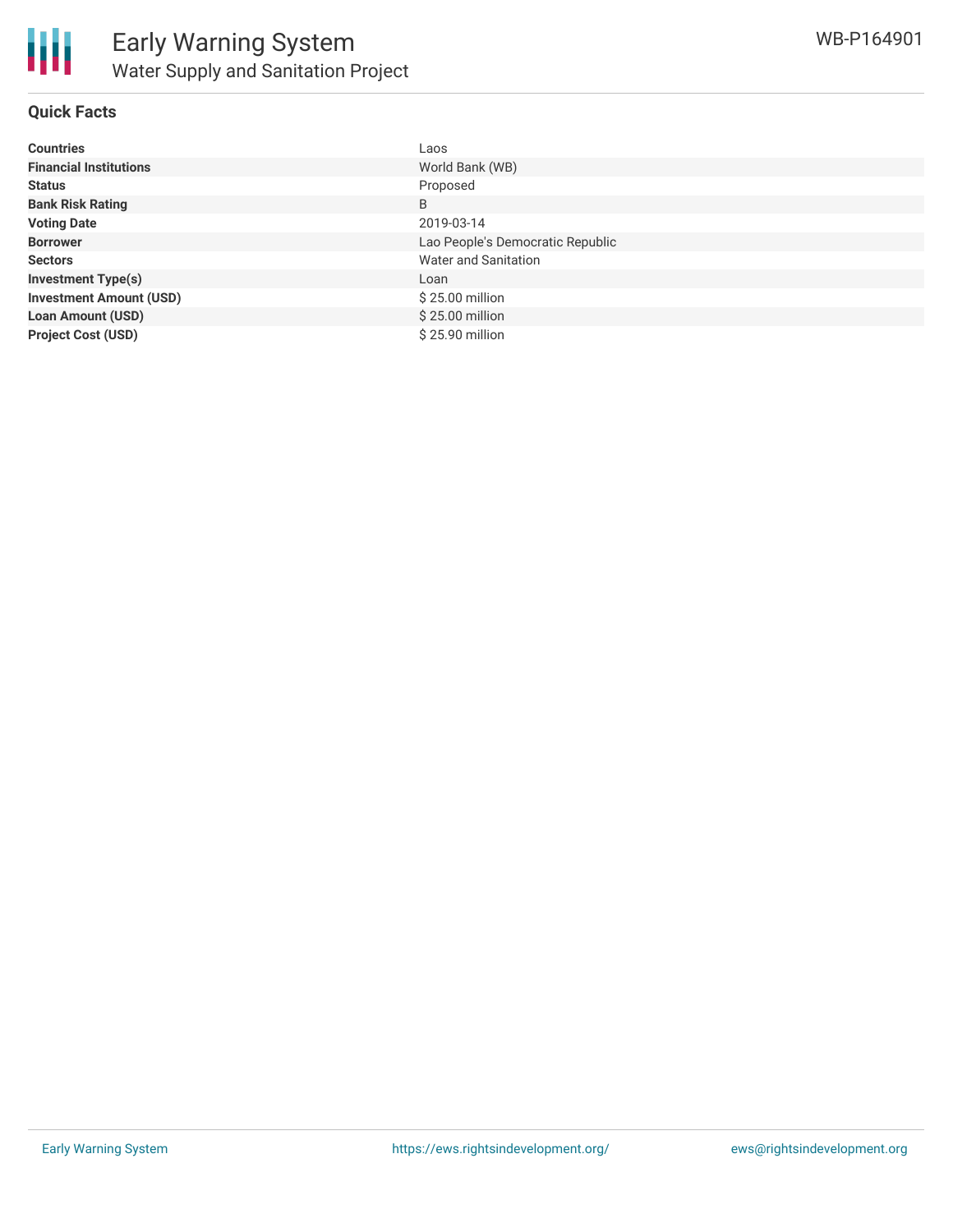

## **Quick Facts**

| <b>Countries</b>               | Laos                             |
|--------------------------------|----------------------------------|
| <b>Financial Institutions</b>  | World Bank (WB)                  |
| <b>Status</b>                  | Proposed                         |
| <b>Bank Risk Rating</b>        | B                                |
| <b>Voting Date</b>             | 2019-03-14                       |
| <b>Borrower</b>                | Lao People's Democratic Republic |
| <b>Sectors</b>                 | Water and Sanitation             |
| <b>Investment Type(s)</b>      | Loan                             |
| <b>Investment Amount (USD)</b> | \$25.00 million                  |
| <b>Loan Amount (USD)</b>       | \$25.00 million                  |
| <b>Project Cost (USD)</b>      | \$25.90 million                  |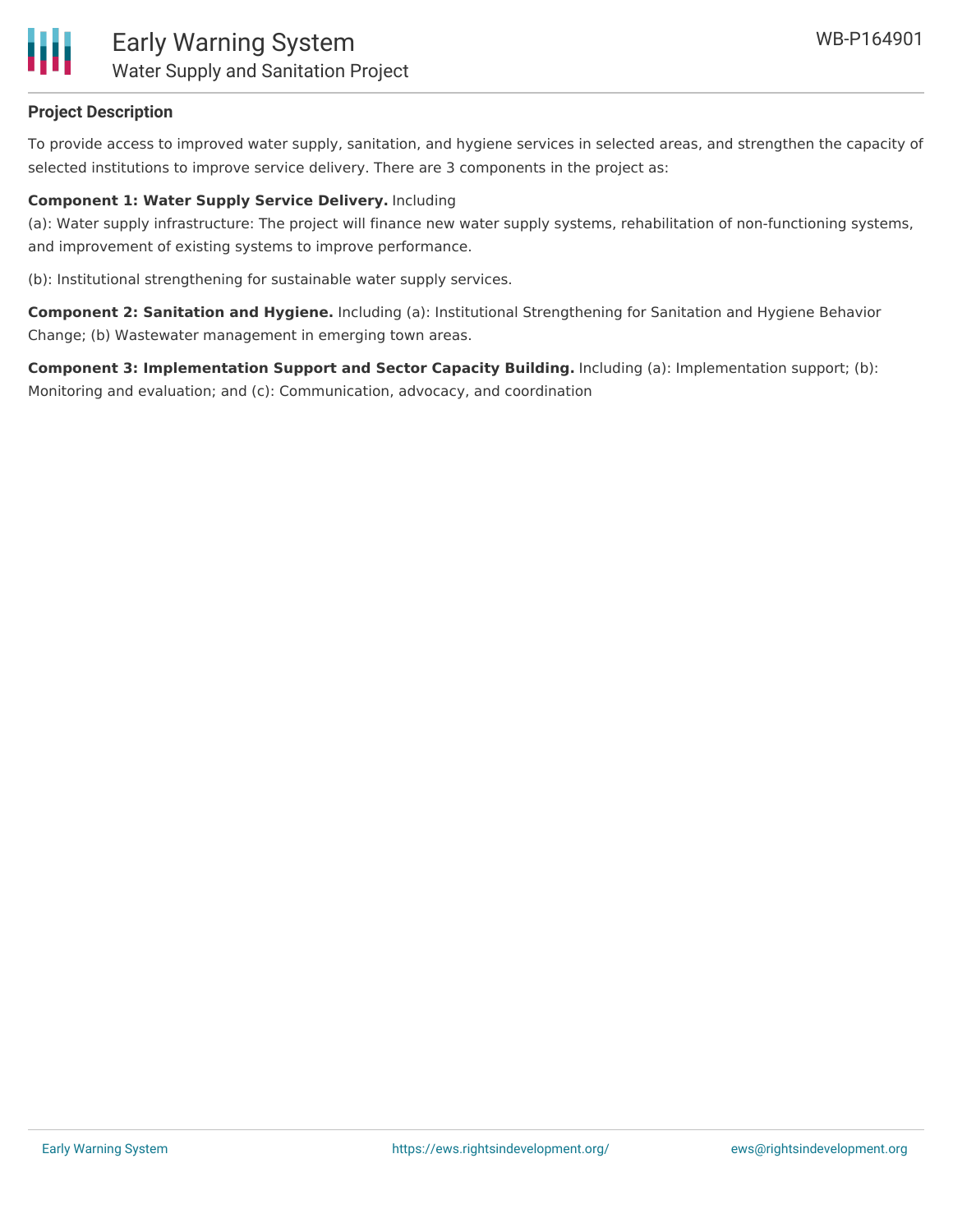

## **Project Description**

To provide access to improved water supply, sanitation, and hygiene services in selected areas, and strengthen the capacity of selected institutions to improve service delivery. There are 3 components in the project as:

## **Component 1: Water Supply Service Delivery.** Including

(a): Water supply infrastructure: The project will finance new water supply systems, rehabilitation of non-functioning systems, and improvement of existing systems to improve performance.

(b): Institutional strengthening for sustainable water supply services.

**Component 2: Sanitation and Hygiene.** Including (a): Institutional Strengthening for Sanitation and Hygiene Behavior Change; (b) Wastewater management in emerging town areas.

**Component 3: Implementation Support and Sector Capacity Building.** Including (a): Implementation support; (b): Monitoring and evaluation; and (c): Communication, advocacy, and coordination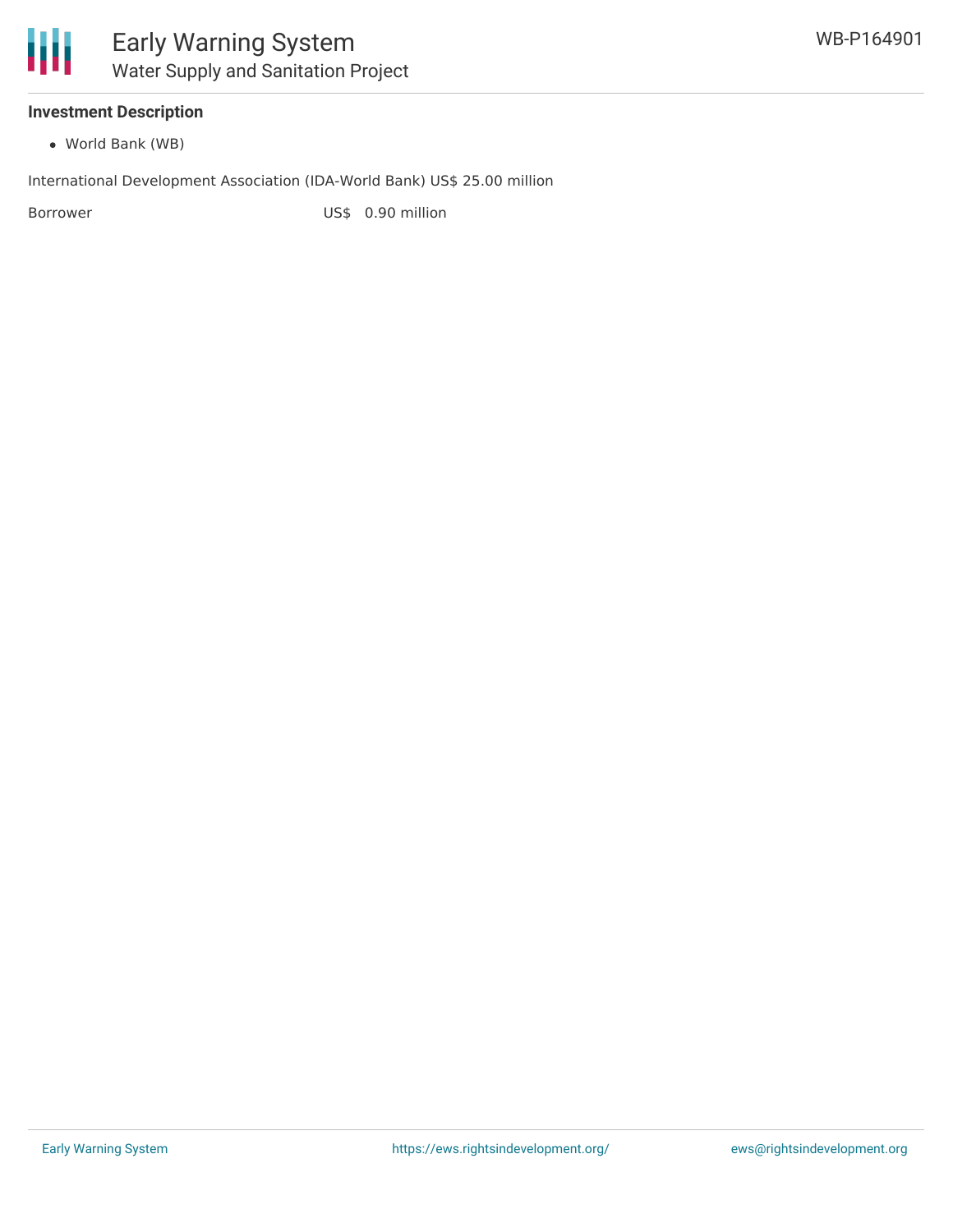## **Investment Description**

World Bank (WB)

International Development Association (IDA-World Bank) US\$ 25.00 million

Borrower US\$ 0.90 million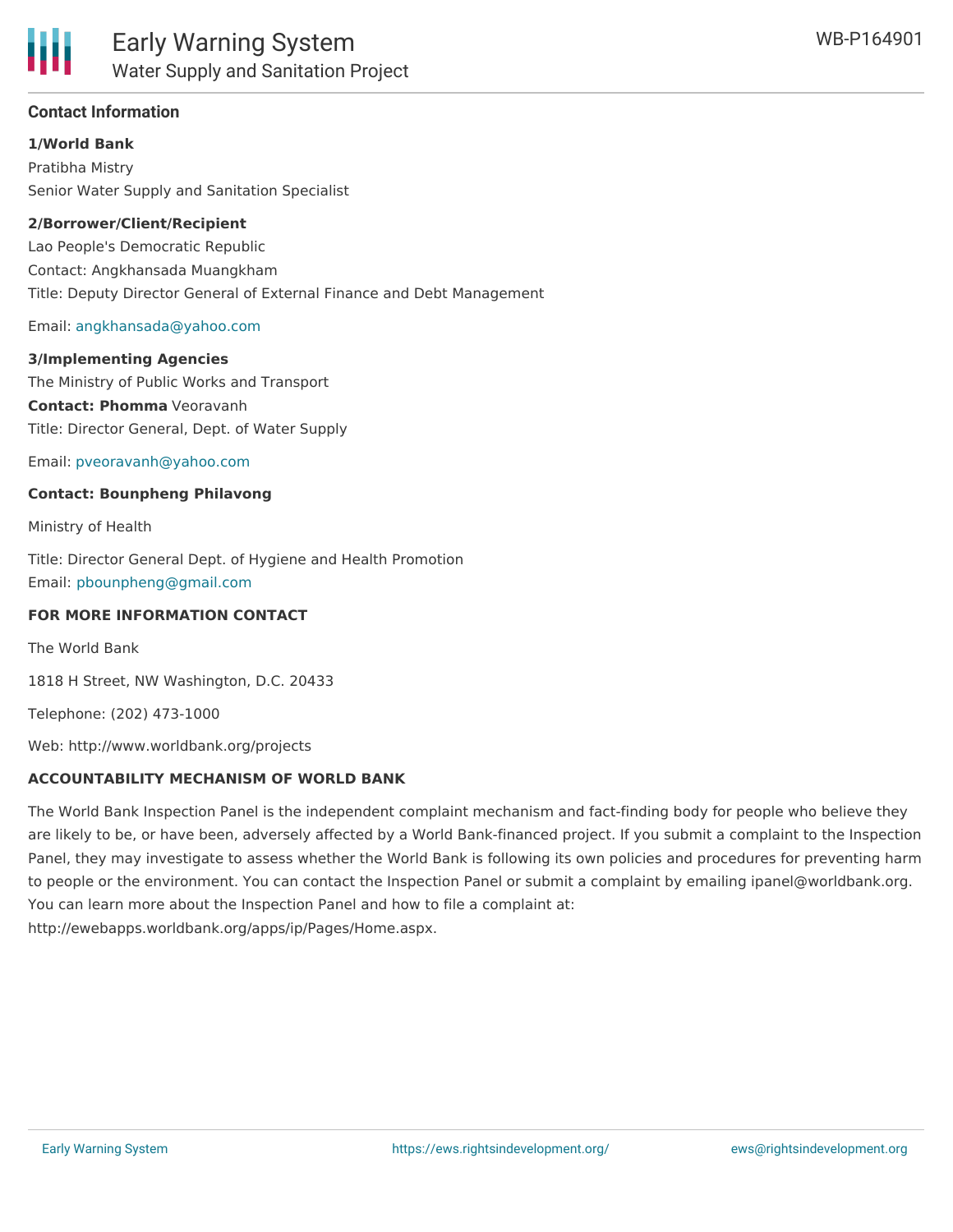

## **Contact Information**

**1/World Bank**

Pratibha Mistry Senior Water Supply and Sanitation Specialist

#### **2/Borrower/Client/Recipient**

Lao People's Democratic Republic Contact: Angkhansada Muangkham Title: Deputy Director General of External Finance and Debt Management

#### Email: [angkhansada@yahoo.com](mailto:angkhansada@yahoo.com)

#### **3/Implementing Agencies**

The Ministry of Public Works and Transport **Contact: Phomma** Veoravanh Title: Director General, Dept. of Water Supply

Email: [pveoravanh@yahoo.com](mailto:pveoravanh@yahoo.com)

#### **Contact: Bounpheng Philavong**

Ministry of Health

Title: Director General Dept. of Hygiene and Health Promotion Email: [pbounpheng@gmail.com](mailto:pbounpheng@gmail.com)

#### **FOR MORE INFORMATION CONTACT**

The World Bank

1818 H Street, NW Washington, D.C. 20433

Telephone: (202) 473-1000

Web: http://www.worldbank.org/projects

### **ACCOUNTABILITY MECHANISM OF WORLD BANK**

The World Bank Inspection Panel is the independent complaint mechanism and fact-finding body for people who believe they are likely to be, or have been, adversely affected by a World Bank-financed project. If you submit a complaint to the Inspection Panel, they may investigate to assess whether the World Bank is following its own policies and procedures for preventing harm to people or the environment. You can contact the Inspection Panel or submit a complaint by emailing ipanel@worldbank.org. You can learn more about the Inspection Panel and how to file a complaint at: http://ewebapps.worldbank.org/apps/ip/Pages/Home.aspx.